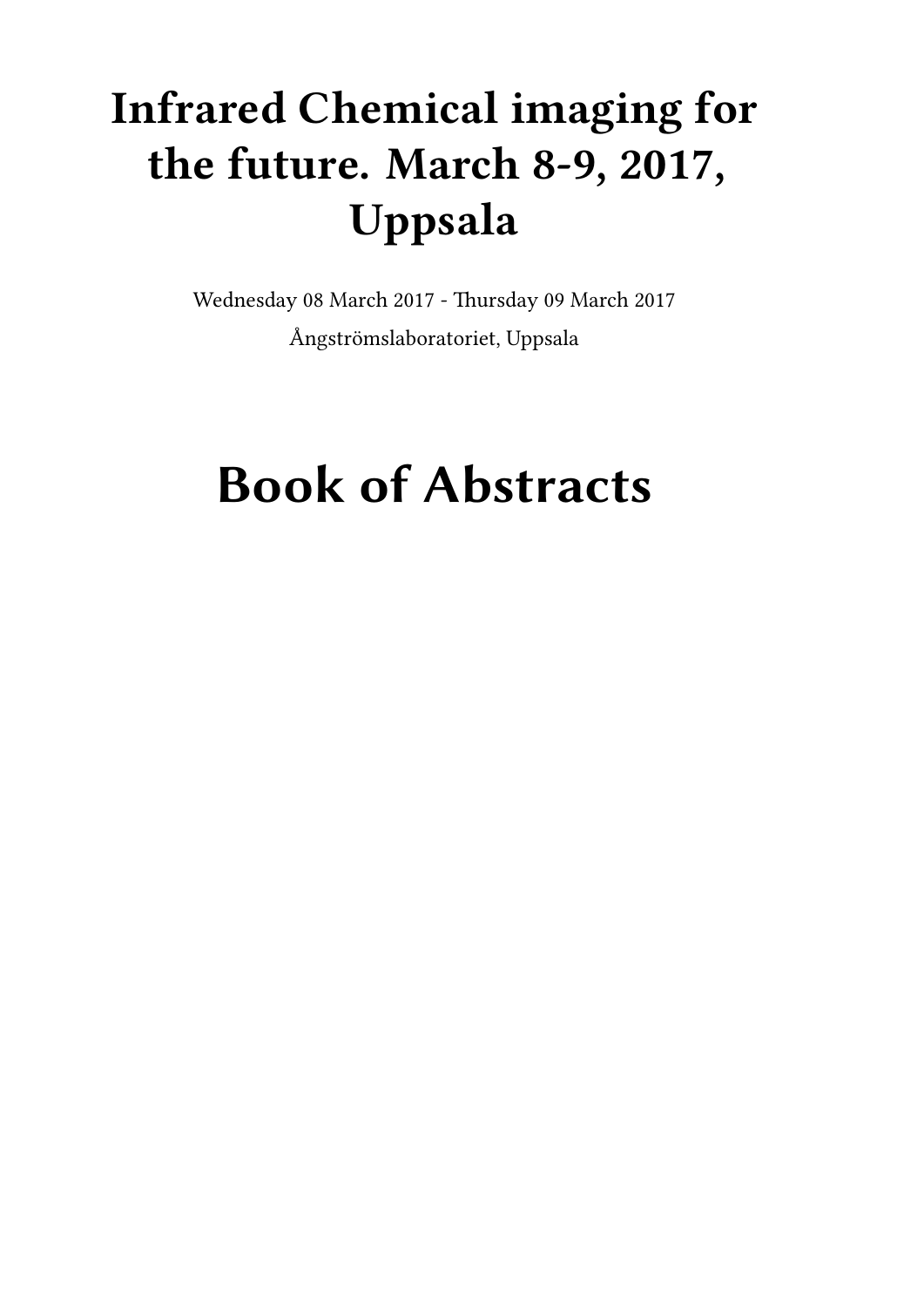# **Infrared Chemical imaging for the future. March 8-9, 2017, Uppsala**

Wednesday 08 March 2017 - Thursday 09 March 2017 Ångströmslaboratoriet, Uppsala

# **Book of Abstracts**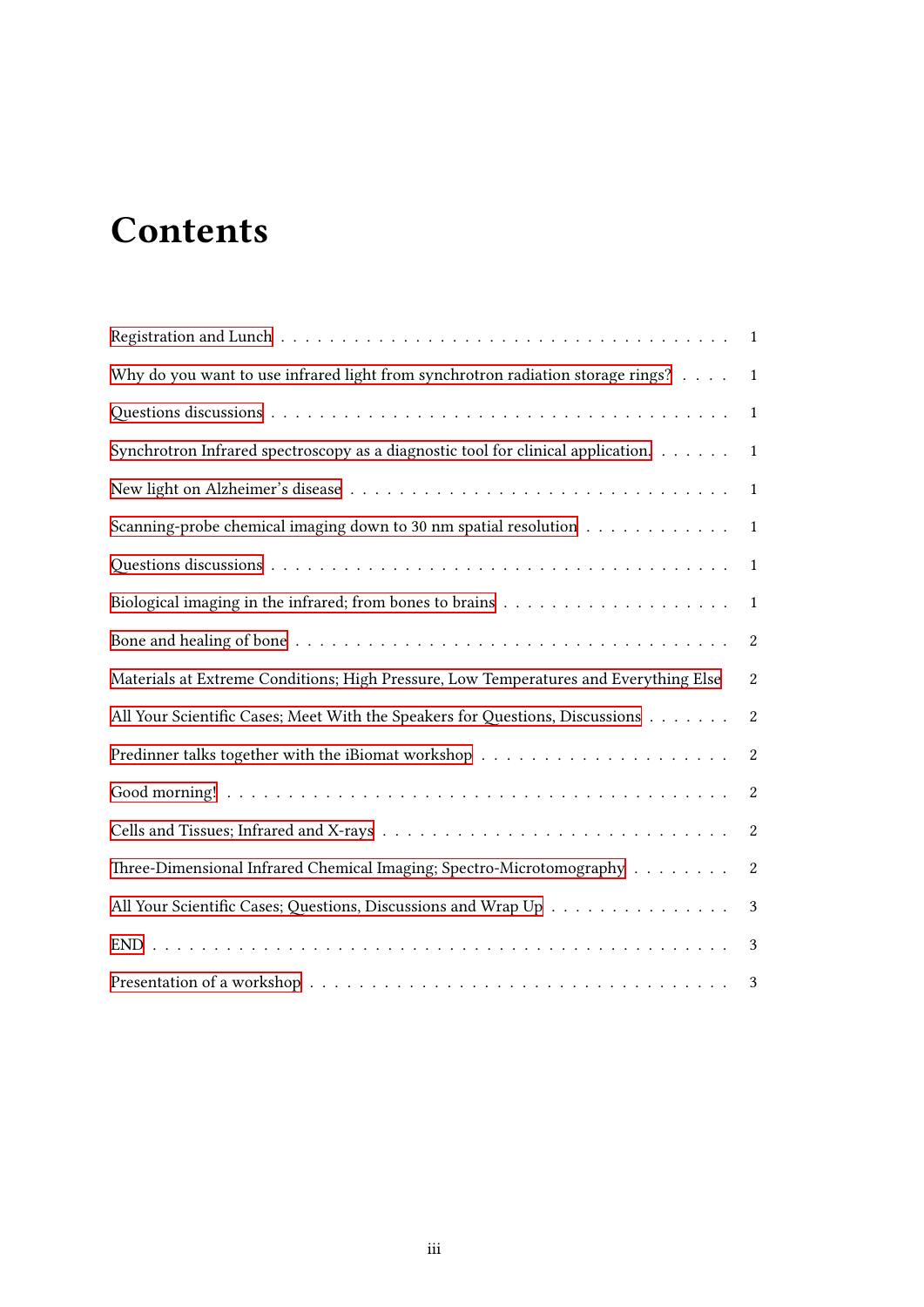# **Contents**

|                                                                                                             | $\mathbf{1}$     |
|-------------------------------------------------------------------------------------------------------------|------------------|
| Why do you want to use infrared light from synchrotron radiation storage rings?                             | 1                |
|                                                                                                             | $\mathbf{1}$     |
| Synchrotron Infrared spectroscopy as a diagnostic tool for clinical application.                            | $\mathbf{1}$     |
|                                                                                                             | 1                |
| Scanning-probe chemical imaging down to 30 nm spatial resolution                                            | $\mathbf{1}$     |
|                                                                                                             | 1                |
| Biological imaging in the infrared; from bones to brains $\ldots \ldots \ldots \ldots \ldots \ldots \ldots$ | 1                |
|                                                                                                             | $\boldsymbol{2}$ |
| Materials at Extreme Conditions; High Pressure, Low Temperatures and Everything Else                        | $\overline{2}$   |
| All Your Scientific Cases; Meet With the Speakers for Questions, Discussions                                | $\boldsymbol{2}$ |
|                                                                                                             | $\boldsymbol{2}$ |
|                                                                                                             | $\boldsymbol{2}$ |
|                                                                                                             | $\boldsymbol{2}$ |
| Three-Dimensional Infrared Chemical Imaging; Spectro-Microtomography                                        | $\boldsymbol{2}$ |
| All Your Scientific Cases; Questions, Discussions and Wrap Up                                               | $\sqrt{3}$       |
|                                                                                                             | 3                |
|                                                                                                             | 3                |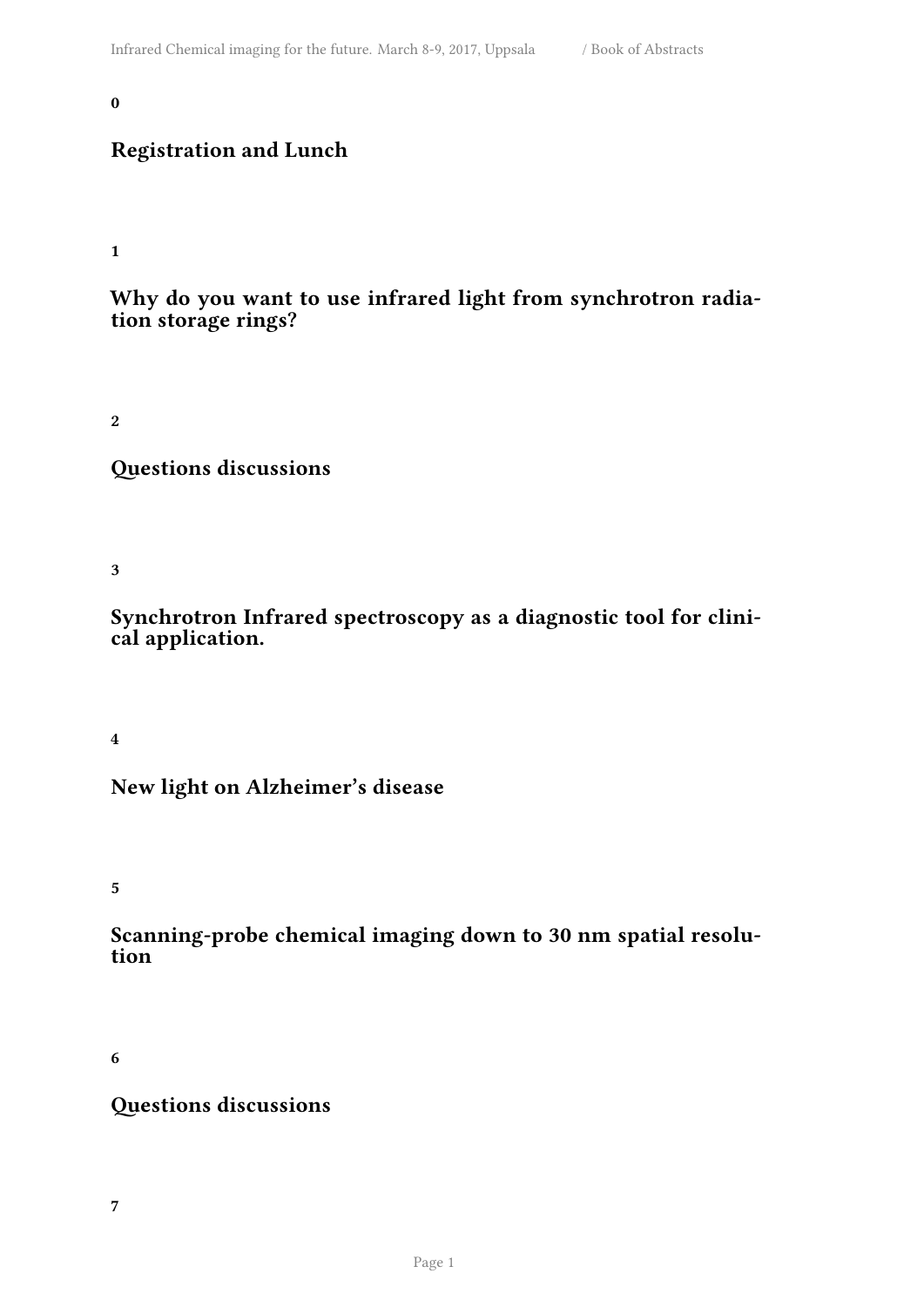#### <span id="page-4-0"></span>**0**

### **Registration and Lunch**

#### <span id="page-4-1"></span>**1**

#### **Why do you want to use infrared light from synchrotron radiation storage rings?**

<span id="page-4-2"></span>**2**

**Questions discussions**

<span id="page-4-3"></span>**3**

**Synchrotron Infrared spectroscopy as a diagnostic tool for clinical application.**

<span id="page-4-4"></span>**4**

#### **New light on Alzheimer's disease**

<span id="page-4-5"></span>**5**

#### **Scanning-probe chemical imaging down to 30 nm spatial resolution**

<span id="page-4-6"></span>**6**

## <span id="page-4-7"></span>**Questions discussions**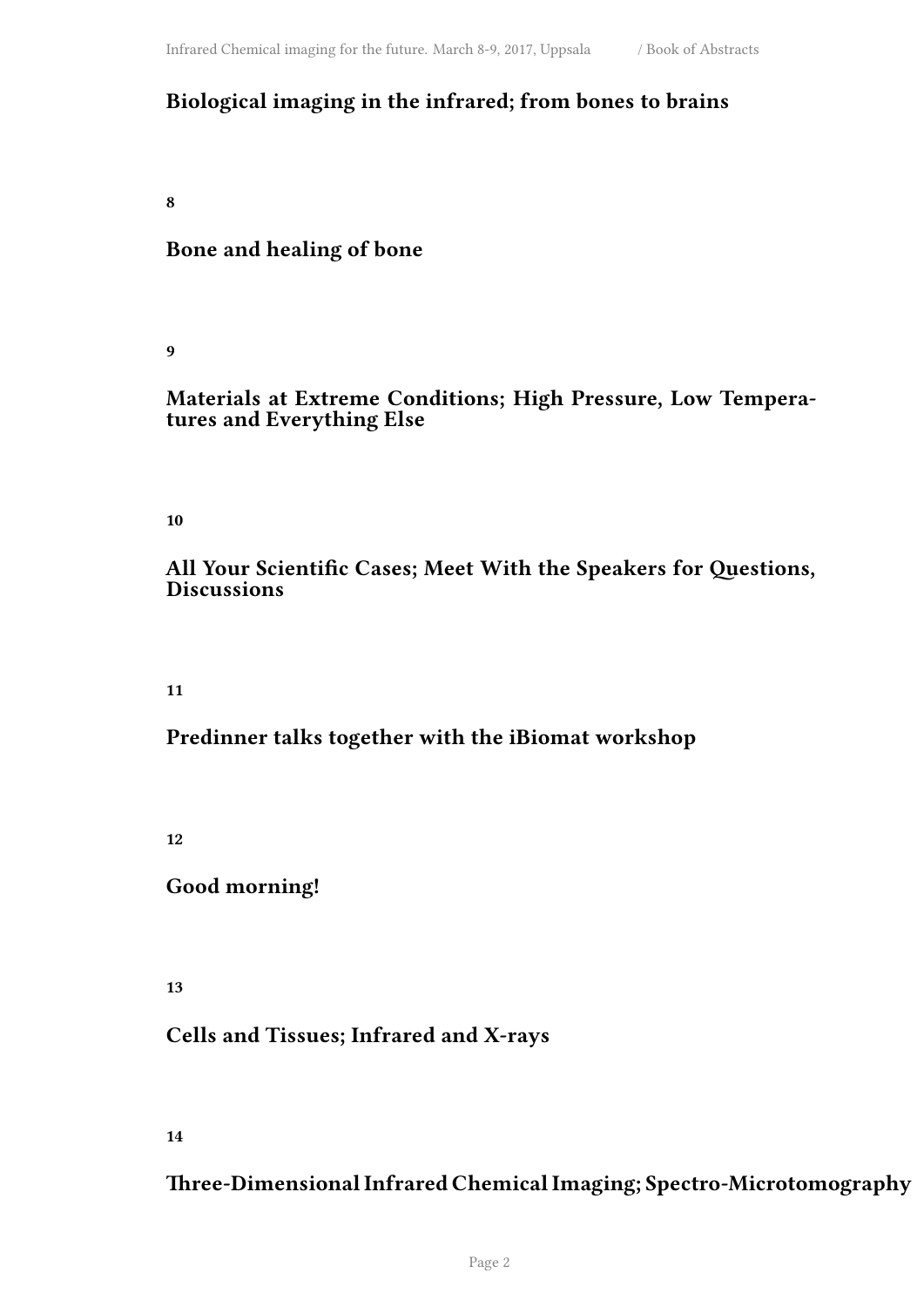## **Biological imaging in the infrared; from bones to brains**

<span id="page-5-0"></span>**8**

#### **Bone and healing of bone**

<span id="page-5-1"></span>**9**

#### **Materials at Extreme Conditions; High Pressure, Low Temperatures and Everything Else**

<span id="page-5-2"></span>**10**

#### **All Your Scientific Cases; Meet With the Speakers for Questions, Discussions**

<span id="page-5-3"></span>**11**

#### **Predinner talks together with the iBiomat workshop**

<span id="page-5-4"></span>**12**

#### **Good morning!**

<span id="page-5-5"></span>**13**

#### **Cells and Tissues; Infrared and X-rays**

<span id="page-5-6"></span>**14**

#### **Three-Dimensional Infrared Chemical Imaging; Spectro-Microtomography**